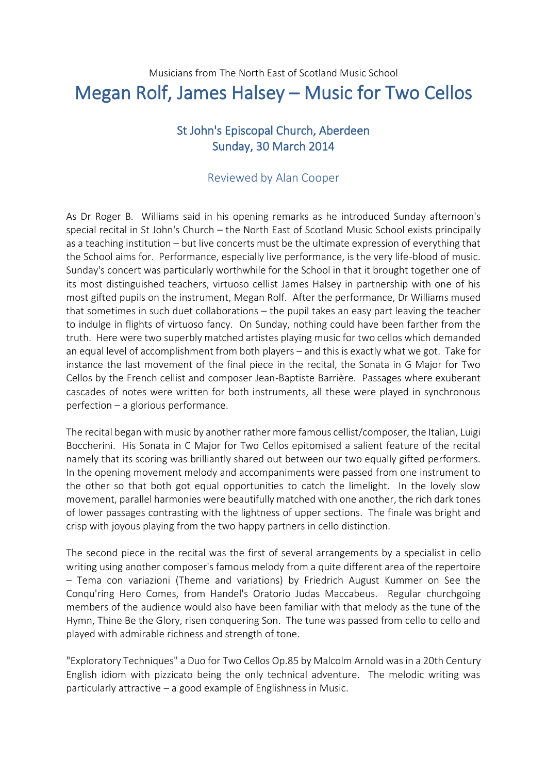## Musicians from The North East of Scotland Music School Megan Rolf, James Halsey – Music for Two Cellos

## St John's Episcopal Church, Aberdeen Sunday, 30 March 2014

## Reviewed by Alan Cooper

As Dr Roger B. Williams said in his opening remarks as he introduced Sunday afternoon's special recital in St John's Church – the North East of Scotland Music School exists principally as a teaching institution – but live concerts must be the ultimate expression of everything that the School aims for. Performance, especially live performance, is the very life-blood of music. Sunday's concert was particularly worthwhile for the School in that it brought together one of its most distinguished teachers, virtuoso cellist James Halsey in partnership with one of his most gifted pupils on the instrument, Megan Rolf. After the performance, Dr Williams mused that sometimes in such duet collaborations – the pupil takes an easy part leaving the teacher to indulge in flights of virtuoso fancy. On Sunday, nothing could have been farther from the truth. Here were two superbly matched artistes playing music for two cellos which demanded an equal level of accomplishment from both players – and this is exactly what we got. Take for instance the last movement of the final piece in the recital, the Sonata in G Major for Two Cellos by the French cellist and composer Jean-Baptiste Barrière. Passages where exuberant cascades of notes were written for both instruments, all these were played in synchronous perfection – a glorious performance.

The recital began with music by another rather more famous cellist/composer, the Italian, Luigi Boccherini. His Sonata in C Major for Two Cellos epitomised a salient feature of the recital namely that its scoring was brilliantly shared out between our two equally gifted performers. In the opening movement melody and accompaniments were passed from one instrument to the other so that both got equal opportunities to catch the limelight. In the lovely slow movement, parallel harmonies were beautifully matched with one another, the rich dark tones of lower passages contrasting with the lightness of upper sections. The finale was bright and crisp with joyous playing from the two happy partners in cello distinction.

The second piece in the recital was the first of several arrangements by a specialist in cello writing using another composer's famous melody from a quite different area of the repertoire – Tema con variazioni (Theme and variations) by Friedrich August Kummer on See the Conqu'ring Hero Comes, from Handel's Oratorio Judas Maccabeus. Regular churchgoing members of the audience would also have been familiar with that melody as the tune of the Hymn, Thine Be the Glory, risen conquering Son. The tune was passed from cello to cello and played with admirable richness and strength of tone.

"Exploratory Techniques" a Duo for Two Cellos Op.85 by Malcolm Arnold was in a 20th Century English idiom with pizzicato being the only technical adventure. The melodic writing was particularly attractive – a good example of Englishness in Music.